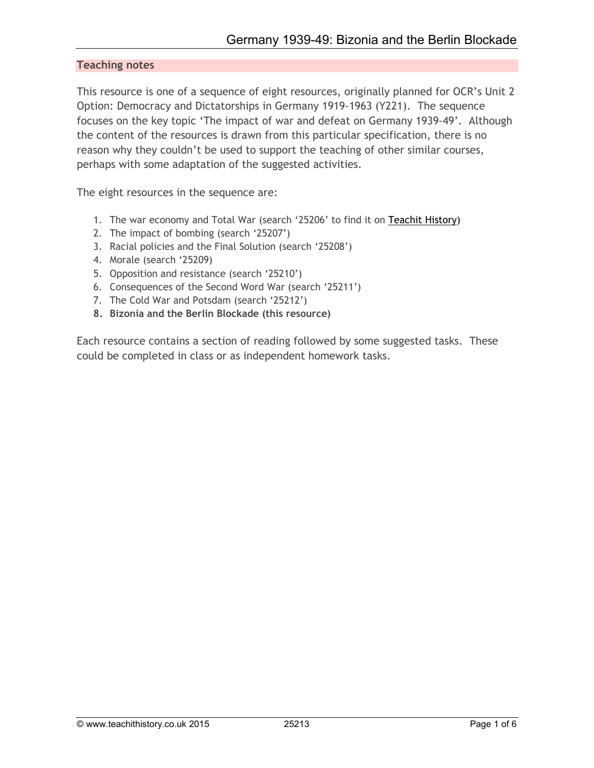### **Teaching notes**

This resource is one of a sequence of eight resources, originally planned for OCR's Unit 2 Option: Democracy and Dictatorships in Germany 1919-1963 (Y221). The sequence focuses on the key topic 'The impact of war and defeat on Germany 1939-49'. Although the content of the resources is drawn from this particular specification, there is no reason why they couldn't be used to support the teaching of other similar courses, perhaps with some adaptation of the suggested activities.

The eight resources in the sequence are:

- 1. The war economy and Total War (search '25206' to find it on Teachit History**)**
- 2. The impact of bombing (search '25207')
- 3. Racial policies and the Final Solution (search '25208')
- 4. Morale (search '25209)
- 5. Opposition and resistance (search '25210')
- 6. Consequences of the Second Word War (search '25211')
- 7. The Cold War and Potsdam (search '25212')
- **8. Bizonia and the Berlin Blockade (this resource)**

Each resource contains a section of reading followed by some suggested tasks. These could be completed in class or as independent homework tasks.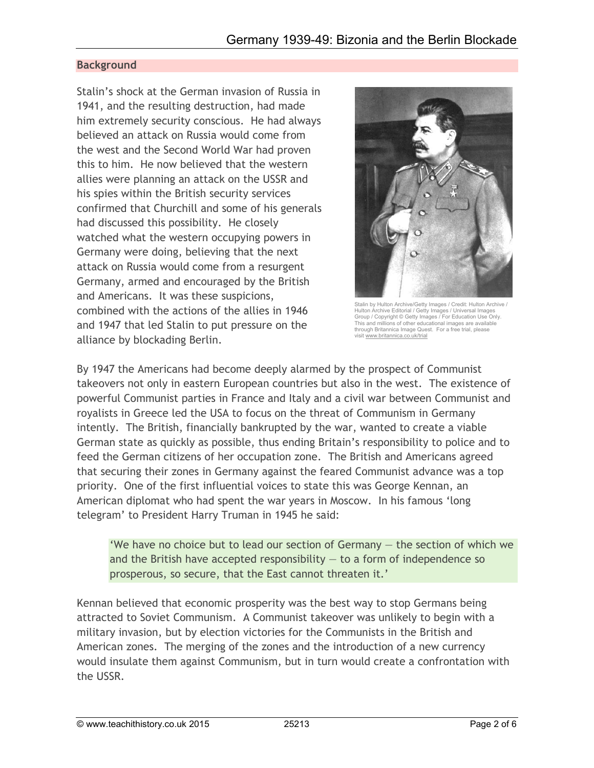# **Background**

Stalin's shock at the German invasion of Russia in 1941, and the resulting destruction, had made him extremely security conscious. He had always believed an attack on Russia would come from the west and the Second World War had proven this to him. He now believed that the western allies were planning an attack on the USSR and his spies within the British security services confirmed that Churchill and some of his generals had discussed this possibility. He closely watched what the western occupying powers in Germany were doing, believing that the next attack on Russia would come from a resurgent Germany, armed and encouraged by the British and Americans. It was these suspicions, combined with the actions of the allies in 1946 and 1947 that led Stalin to put pressure on the alliance by blockading Berlin.



Stalin by Hulton Archive/Getty Images / Credit: Hulton Archive / Hulton Archive Editorial / Getty Images / Universal Images Group / Copyright © Getty Images / For Education Use Only. This and millions of other educational images are available through Britannica Image Quest. For a free trial, please<br>visit www.britannica.co.uk/trial

By 1947 the Americans had become deeply alarmed by the prospect of Communist takeovers not only in eastern European countries but also in the west. The existence of powerful Communist parties in France and Italy and a civil war between Communist and royalists in Greece led the USA to focus on the threat of Communism in Germany intently. The British, financially bankrupted by the war, wanted to create a viable German state as quickly as possible, thus ending Britain's responsibility to police and to feed the German citizens of her occupation zone. The British and Americans agreed that securing their zones in Germany against the feared Communist advance was a top priority. One of the first influential voices to state this was George Kennan, an American diplomat who had spent the war years in Moscow. In his famous 'long telegram' to President Harry Truman in 1945 he said:

'We have no choice but to lead our section of Germany — the section of which we and the British have accepted responsibility  $-$  to a form of independence so prosperous, so secure, that the East cannot threaten it.'

Kennan believed that economic prosperity was the best way to stop Germans being attracted to Soviet Communism. A Communist takeover was unlikely to begin with a military invasion, but by election victories for the Communists in the British and American zones. The merging of the zones and the introduction of a new currency would insulate them against Communism, but in turn would create a confrontation with the USSR.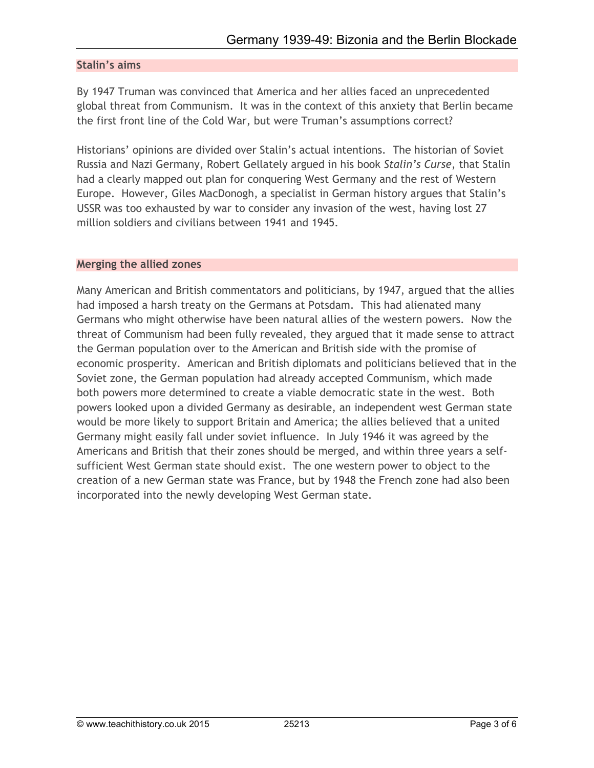### **Stalin's aims**

By 1947 Truman was convinced that America and her allies faced an unprecedented global threat from Communism. It was in the context of this anxiety that Berlin became the first front line of the Cold War, but were Truman's assumptions correct?

Historians' opinions are divided over Stalin's actual intentions. The historian of Soviet Russia and Nazi Germany, Robert Gellately argued in his book *Stalin's Curse*, that Stalin had a clearly mapped out plan for conquering West Germany and the rest of Western Europe. However, Giles MacDonogh, a specialist in German history argues that Stalin's USSR was too exhausted by war to consider any invasion of the west, having lost 27 million soldiers and civilians between 1941 and 1945.

#### **Merging the allied zones**

Many American and British commentators and politicians, by 1947, argued that the allies had imposed a harsh treaty on the Germans at Potsdam. This had alienated many Germans who might otherwise have been natural allies of the western powers. Now the threat of Communism had been fully revealed, they argued that it made sense to attract the German population over to the American and British side with the promise of economic prosperity. American and British diplomats and politicians believed that in the Soviet zone, the German population had already accepted Communism, which made both powers more determined to create a viable democratic state in the west. Both powers looked upon a divided Germany as desirable, an independent west German state would be more likely to support Britain and America; the allies believed that a united Germany might easily fall under soviet influence. In July 1946 it was agreed by the Americans and British that their zones should be merged, and within three years a selfsufficient West German state should exist. The one western power to object to the creation of a new German state was France, but by 1948 the French zone had also been incorporated into the newly developing West German state.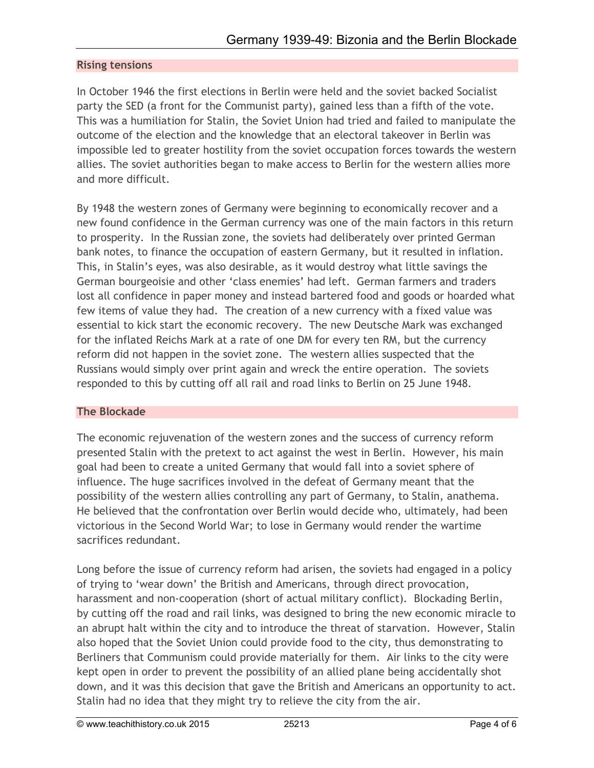### **Rising tensions**

In October 1946 the first elections in Berlin were held and the soviet backed Socialist party the SED (a front for the Communist party), gained less than a fifth of the vote. This was a humiliation for Stalin, the Soviet Union had tried and failed to manipulate the outcome of the election and the knowledge that an electoral takeover in Berlin was impossible led to greater hostility from the soviet occupation forces towards the western allies. The soviet authorities began to make access to Berlin for the western allies more and more difficult.

By 1948 the western zones of Germany were beginning to economically recover and a new found confidence in the German currency was one of the main factors in this return to prosperity. In the Russian zone, the soviets had deliberately over printed German bank notes, to finance the occupation of eastern Germany, but it resulted in inflation. This, in Stalin's eyes, was also desirable, as it would destroy what little savings the German bourgeoisie and other 'class enemies' had left. German farmers and traders lost all confidence in paper money and instead bartered food and goods or hoarded what few items of value they had. The creation of a new currency with a fixed value was essential to kick start the economic recovery. The new Deutsche Mark was exchanged for the inflated Reichs Mark at a rate of one DM for every ten RM, but the currency reform did not happen in the soviet zone. The western allies suspected that the Russians would simply over print again and wreck the entire operation. The soviets responded to this by cutting off all rail and road links to Berlin on 25 June 1948.

### **The Blockade**

The economic rejuvenation of the western zones and the success of currency reform presented Stalin with the pretext to act against the west in Berlin. However, his main goal had been to create a united Germany that would fall into a soviet sphere of influence. The huge sacrifices involved in the defeat of Germany meant that the possibility of the western allies controlling any part of Germany, to Stalin, anathema. He believed that the confrontation over Berlin would decide who, ultimately, had been victorious in the Second World War; to lose in Germany would render the wartime sacrifices redundant.

Long before the issue of currency reform had arisen, the soviets had engaged in a policy of trying to 'wear down' the British and Americans, through direct provocation, harassment and non-cooperation (short of actual military conflict). Blockading Berlin, by cutting off the road and rail links, was designed to bring the new economic miracle to an abrupt halt within the city and to introduce the threat of starvation. However, Stalin also hoped that the Soviet Union could provide food to the city, thus demonstrating to Berliners that Communism could provide materially for them. Air links to the city were kept open in order to prevent the possibility of an allied plane being accidentally shot down, and it was this decision that gave the British and Americans an opportunity to act. Stalin had no idea that they might try to relieve the city from the air.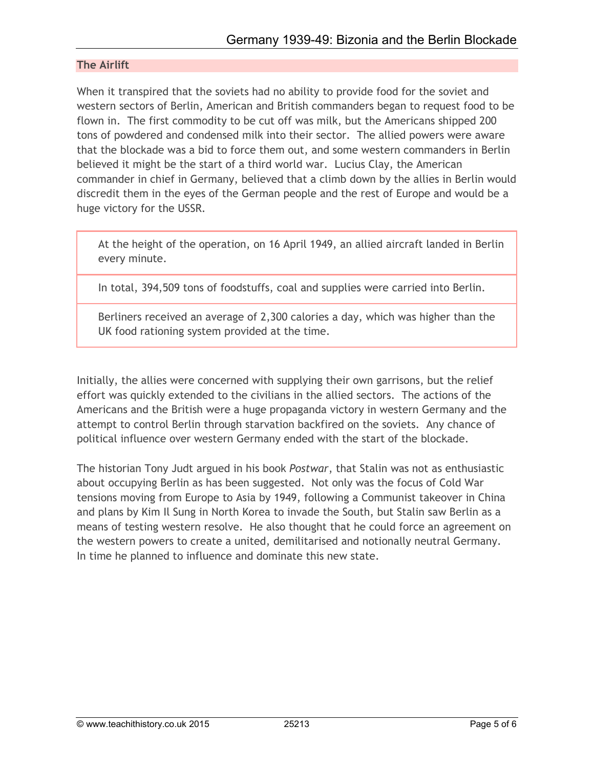## **The Airlift**

When it transpired that the soviets had no ability to provide food for the soviet and western sectors of Berlin, American and British commanders began to request food to be flown in. The first commodity to be cut off was milk, but the Americans shipped 200 tons of powdered and condensed milk into their sector. The allied powers were aware that the blockade was a bid to force them out, and some western commanders in Berlin believed it might be the start of a third world war. Lucius Clay, the American commander in chief in Germany, believed that a climb down by the allies in Berlin would discredit them in the eyes of the German people and the rest of Europe and would be a huge victory for the USSR.

At the height of the operation, on 16 April 1949, an allied aircraft landed in Berlin every minute.

In total, 394,509 tons of foodstuffs, coal and supplies were carried into Berlin.

Berliners received an average of 2,300 calories a day, which was higher than the UK food rationing system provided at the time.

Initially, the allies were concerned with supplying their own garrisons, but the relief effort was quickly extended to the civilians in the allied sectors. The actions of the Americans and the British were a huge propaganda victory in western Germany and the attempt to control Berlin through starvation backfired on the soviets. Any chance of political influence over western Germany ended with the start of the blockade.

The historian Tony Judt argued in his book *Postwar*, that Stalin was not as enthusiastic about occupying Berlin as has been suggested. Not only was the focus of Cold War tensions moving from Europe to Asia by 1949, following a Communist takeover in China and plans by Kim Il Sung in North Korea to invade the South, but Stalin saw Berlin as a means of testing western resolve. He also thought that he could force an agreement on the western powers to create a united, demilitarised and notionally neutral Germany. In time he planned to influence and dominate this new state.